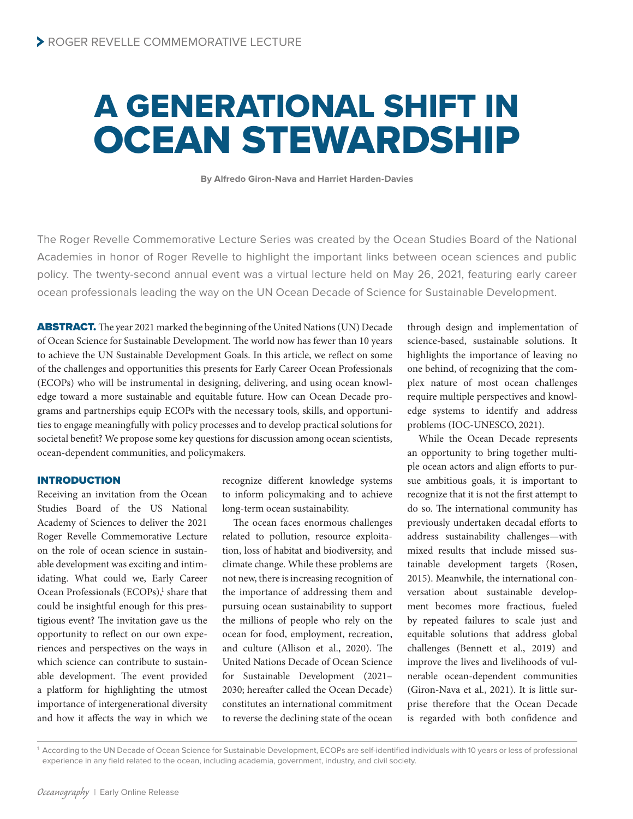# A GENERATIONAL SHIFT IN OCEAN STEWARDSHIP

**By Alfredo Giron-Nava and Harriet Harden-Davies**

The Roger Revelle Commemorative Lecture Series was created by the Ocean Studies Board of the National Academies in honor of Roger Revelle to highlight the important links between ocean sciences and public policy. The twenty-second annual event was a virtual lecture held on May 26, 2021, featuring early career ocean professionals leading the way on the UN Ocean Decade of Science for Sustainable Development.

ABSTRACT. The year 2021 marked the beginning of the United Nations (UN) Decade of Ocean Science for Sustainable Development. The world now has fewer than 10 years to achieve the UN Sustainable Development Goals. In this article, we reflect on some of the challenges and opportunities this presents for Early Career Ocean Professionals (ECOPs) who will be instrumental in designing, delivering, and using ocean knowledge toward a more sustainable and equitable future. How can Ocean Decade programs and partnerships equip ECOPs with the necessary tools, skills, and opportunities to engage meaningfully with policy processes and to develop practical solutions for societal benefit? We propose some key questions for discussion among ocean scientists, ocean-dependent communities, and policymakers.

### INTRODUCTION

Receiving an invitation from the Ocean Studies Board of the US National Academy of Sciences to deliver the 2021 Roger Revelle Commemorative Lecture on the role of ocean science in sustainable development was exciting and intimidating. What could we, Early Career Ocean Professionals (ECOPs),<sup>1</sup> share that could be insightful enough for this prestigious event? The invitation gave us the opportunity to reflect on our own experiences and perspectives on the ways in which science can contribute to sustainable development. The event provided a platform for highlighting the utmost importance of intergenerational diversity and how it affects the way in which we

recognize different knowledge systems to inform policymaking and to achieve long-term ocean sustainability.

The ocean faces enormous challenges related to pollution, resource exploitation, loss of habitat and biodiversity, and climate change. While these problems are not new, there is increasing recognition of the importance of addressing them and pursuing ocean sustainability to support the millions of people who rely on the ocean for food, employment, recreation, and culture (Allison et al., 2020). The United Nations Decade of Ocean Science for Sustainable Development (2021– 2030; hereafter called the Ocean Decade) constitutes an international commitment to reverse the declining state of the ocean

through design and implementation of science-based, sustainable solutions. It highlights the importance of leaving no one behind, of recognizing that the complex nature of most ocean challenges require multiple perspectives and knowledge systems to identify and address problems (IOC-UNESCO, 2021).

While the Ocean Decade represents an opportunity to bring together multiple ocean actors and align efforts to pursue ambitious goals, it is important to recognize that it is not the first attempt to do so. The international community has previously undertaken decadal efforts to address sustainability challenges—with mixed results that include missed sustainable development targets (Rosen, 2015). Meanwhile, the international conversation about sustainable development becomes more fractious, fueled by repeated failures to scale just and equitable solutions that address global challenges (Bennett et al., 2019) and improve the lives and livelihoods of vulnerable ocean-dependent communities (Giron-Nava et al., 2021). It is little surprise therefore that the Ocean Decade is regarded with both confidence and

<sup>1</sup> According to the UN Decade of Ocean Science for Sustainable Development, ECOPs are self-identified individuals with 10 years or less of professional experience in any field related to the ocean, including academia, government, industry, and civil society.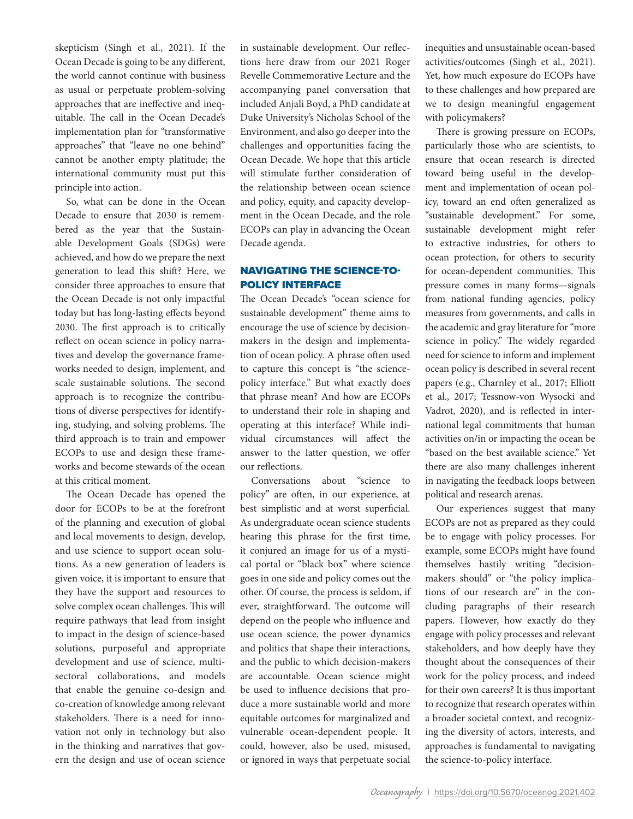skepticism (Singh et al., 2021). If the Ocean Decade is going to be any different, the world cannot continue with business as usual or perpetuate problem-solving approaches that are ineffective and inequitable. The call in the Ocean Decade's implementation plan for "transformative approaches" that "leave no one behind" cannot be another empty platitude; the international community must put this principle into action.

So, what can be done in the Ocean Decade to ensure that 2030 is remembered as the year that the Sustainable Development Goals (SDGs) were achieved, and how do we prepare the next generation to lead this shift? Here, we consider three approaches to ensure that the Ocean Decade is not only impactful today but has long-lasting effects beyond 2030. The first approach is to critically reflect on ocean science in policy narratives and develop the governance frameworks needed to design, implement, and scale sustainable solutions. The second approach is to recognize the contributions of diverse perspectives for identifying, studying, and solving problems. The third approach is to train and empower ECOPs to use and design these frameworks and become stewards of the ocean at this critical moment.

The Ocean Decade has opened the door for ECOPs to be at the forefront of the planning and execution of global and local movements to design, develop, and use science to support ocean solutions. As a new generation of leaders is given voice, it is important to ensure that they have the support and resources to solve complex ocean challenges. This will require pathways that lead from insight to impact in the design of science-based solutions, purposeful and appropriate development and use of science, multisectoral collaborations, and models that enable the genuine co-design and co-creation of knowledge among relevant stakeholders. There is a need for innovation not only in technology but also in the thinking and narratives that govern the design and use of ocean science

in sustainable development. Our reflections here draw from our 2021 Roger Revelle Commemorative Lecture and the accompanying panel conversation that included Anjali Boyd, a PhD candidate at Duke University's Nicholas School of the Environment, and also go deeper into the challenges and opportunities facing the Ocean Decade. We hope that this article will stimulate further consideration of the relationship between ocean science and policy, equity, and capacity development in the Ocean Decade, and the role ECOPs can play in advancing the Ocean Decade agenda.

# NAVIGATING THE SCIENCE-TO-POLICY INTERFACE

The Ocean Decade's "ocean science for sustainable development" theme aims to encourage the use of science by decisionmakers in the design and implementation of ocean policy. A phrase often used to capture this concept is "the sciencepolicy interface." But what exactly does that phrase mean? And how are ECOPs to understand their role in shaping and operating at this interface? While individual circumstances will affect the answer to the latter question, we offer our reflections.

Conversations about "science to policy" are often, in our experience, at best simplistic and at worst superficial. As undergraduate ocean science students hearing this phrase for the first time, it conjured an image for us of a mystical portal or "black box" where science goes in one side and policy comes out the other. Of course, the process is seldom, if ever, straightforward. The outcome will depend on the people who influence and use ocean science, the power dynamics and politics that shape their interactions, and the public to which decision-makers are accountable. Ocean science might be used to influence decisions that produce a more sustainable world and more equitable outcomes for marginalized and vulnerable ocean-dependent people. It could, however, also be used, misused, or ignored in ways that perpetuate social inequities and unsustainable ocean-based activities/outcomes (Singh et al., 2021). Yet, how much exposure do ECOPs have to these challenges and how prepared are we to design meaningful engagement with policymakers?

There is growing pressure on ECOPs, particularly those who are scientists, to ensure that ocean research is directed toward being useful in the development and implementation of ocean policy, toward an end often generalized as "sustainable development." For some, sustainable development might refer to extractive industries, for others to ocean protection, for others to security for ocean-dependent communities. This pressure comes in many forms—signals from national funding agencies, policy measures from governments, and calls in the academic and gray literature for "more science in policy." The widely regarded need for science to inform and implement ocean policy is described in several recent papers (e.g., Charnley et al., 2017; Elliott et al., 2017; Tessnow-von Wysocki and Vadrot, 2020), and is reflected in international legal commitments that human activities on/in or impacting the ocean be "based on the best available science." Yet there are also many challenges inherent in navigating the feedback loops between political and research arenas.

Our experiences suggest that many ECOPs are not as prepared as they could be to engage with policy processes. For example, some ECOPs might have found themselves hastily writing "decisionmakers should" or "the policy implications of our research are" in the concluding paragraphs of their research papers. However, how exactly do they engage with policy processes and relevant stakeholders, and how deeply have they thought about the consequences of their work for the policy process, and indeed for their own careers? It is thus important to recognize that research operates within a broader societal context, and recognizing the diversity of actors, interests, and approaches is fundamental to navigating the science-to-policy interface.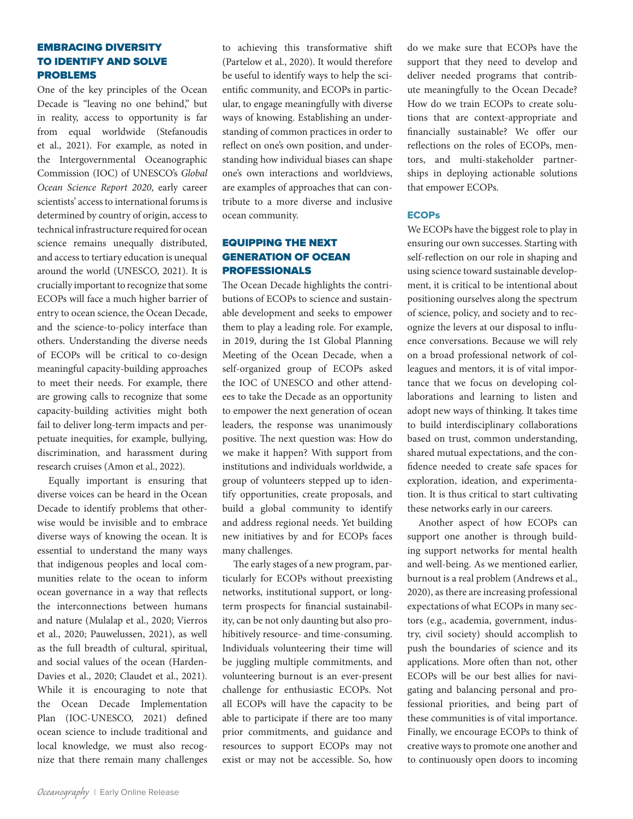# EMBRACING DIVERSITY TO IDENTIFY AND SOLVE PROBLEMS

One of the key principles of the Ocean Decade is "leaving no one behind," but in reality, access to opportunity is far from equal worldwide (Stefanoudis et al., 2021). For example, as noted in the Intergovernmental Oceanographic Commission (IOC) of UNESCO's *Global Ocean Science Report 2020*, early career scientists' access to international forums is determined by country of origin, access to technical infrastructure required for ocean science remains unequally distributed, and access to tertiary education is unequal around the world (UNESCO, 2021). It is crucially important to recognize that some ECOPs will face a much higher barrier of entry to ocean science, the Ocean Decade, and the science-to-policy interface than others. Understanding the diverse needs of ECOPs will be critical to co-design meaningful capacity-building approaches to meet their needs. For example, there are growing calls to recognize that some capacity-building activities might both fail to deliver long-term impacts and perpetuate inequities, for example, bullying, discrimination, and harassment during research cruises (Amon et al., 2022).

Equally important is ensuring that diverse voices can be heard in the Ocean Decade to identify problems that otherwise would be invisible and to embrace diverse ways of knowing the ocean. It is essential to understand the many ways that indigenous peoples and local communities relate to the ocean to inform ocean governance in a way that reflects the interconnections between humans and nature (Mulalap et al., 2020; Vierros et al., 2020; Pauwelussen, 2021), as well as the full breadth of cultural, spiritual, and social values of the ocean (Harden-Davies et al., 2020; Claudet et al., 2021). While it is encouraging to note that the Ocean Decade Implementation Plan (IOC-UNESCO, 2021) defined ocean science to include traditional and local knowledge, we must also recognize that there remain many challenges

to achieving this transformative shift (Partelow et al., 2020). It would therefore be useful to identify ways to help the scientific community, and ECOPs in particular, to engage meaningfully with diverse ways of knowing. Establishing an understanding of common practices in order to reflect on one's own position, and understanding how individual biases can shape one's own interactions and worldviews, are examples of approaches that can contribute to a more diverse and inclusive ocean community.

# EQUIPPING THE NEXT GENERATION OF OCEAN PROFESSIONALS

The Ocean Decade highlights the contributions of ECOPs to science and sustainable development and seeks to empower them to play a leading role. For example, in 2019, during the 1st Global Planning Meeting of the Ocean Decade, when a self-organized group of ECOPs asked the IOC of UNESCO and other attendees to take the Decade as an opportunity to empower the next generation of ocean leaders, the response was unanimously positive. The next question was: How do we make it happen? With support from institutions and individuals worldwide, a group of volunteers stepped up to identify opportunities, create proposals, and build a global community to identify and address regional needs. Yet building new initiatives by and for ECOPs faces many challenges.

The early stages of a new program, particularly for ECOPs without preexisting networks, institutional support, or longterm prospects for financial sustainability, can be not only daunting but also prohibitively resource- and time-consuming. Individuals volunteering their time will be juggling multiple commitments, and volunteering burnout is an ever-present challenge for enthusiastic ECOPs. Not all ECOPs will have the capacity to be able to participate if there are too many prior commitments, and guidance and resources to support ECOPs may not exist or may not be accessible. So, how do we make sure that ECOPs have the support that they need to develop and deliver needed programs that contribute meaningfully to the Ocean Decade? How do we train ECOPs to create solutions that are context-appropriate and financially sustainable? We offer our reflections on the roles of ECOPs, mentors, and multi-stakeholder partnerships in deploying actionable solutions that empower ECOPs.

#### **ECOPs**

We ECOPs have the biggest role to play in ensuring our own successes. Starting with self-reflection on our role in shaping and using science toward sustainable development, it is critical to be intentional about positioning ourselves along the spectrum of science, policy, and society and to recognize the levers at our disposal to influence conversations. Because we will rely on a broad professional network of colleagues and mentors, it is of vital importance that we focus on developing collaborations and learning to listen and adopt new ways of thinking. It takes time to build interdisciplinary collaborations based on trust, common understanding, shared mutual expectations, and the confidence needed to create safe spaces for exploration, ideation, and experimentation. It is thus critical to start cultivating these networks early in our careers.

Another aspect of how ECOPs can support one another is through building support networks for mental health and well-being. As we mentioned earlier, burnout is a real problem (Andrews et al., 2020), as there are increasing professional expectations of what ECOPs in many sectors (e.g., academia, government, industry, civil society) should accomplish to push the boundaries of science and its applications. More often than not, other ECOPs will be our best allies for navigating and balancing personal and professional priorities, and being part of these communities is of vital importance. Finally, we encourage ECOPs to think of creative ways to promote one another and to continuously open doors to incoming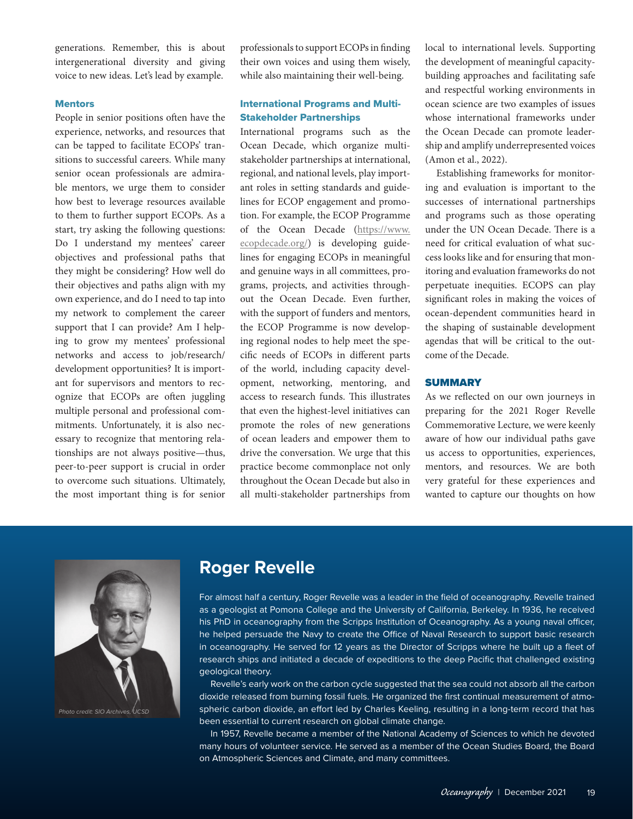generations. Remember, this is about intergenerational diversity and giving voice to new ideas. Let's lead by example.

#### **Mentors**

People in senior positions often have the experience, networks, and resources that can be tapped to facilitate ECOPs' transitions to successful careers. While many senior ocean professionals are admirable mentors, we urge them to consider how best to leverage resources available to them to further support ECOPs. As a start, try asking the following questions: Do I understand my mentees' career objectives and professional paths that they might be considering? How well do their objectives and paths align with my own experience, and do I need to tap into my network to complement the career support that I can provide? Am I helping to grow my mentees' professional networks and access to job/research/ development opportunities? It is important for supervisors and mentors to recognize that ECOPs are often juggling multiple personal and professional commitments. Unfortunately, it is also necessary to recognize that mentoring relationships are not always positive—thus, peer-to-peer support is crucial in order to overcome such situations. Ultimately, the most important thing is for senior professionals to support ECOPs in finding their own voices and using them wisely, while also maintaining their well-being.

## International Programs and Multi-Stakeholder Partnerships

International programs such as the Ocean Decade, which organize multistakeholder partnerships at international, regional, and national levels, play important roles in setting standards and guidelines for ECOP engagement and promotion. For example, the ECOP Programme of the Ocean Decade ([https://www.](https://www.ecopdecade.org/) [ecopdecade.org/\)](https://www.ecopdecade.org/) is developing guidelines for engaging ECOPs in meaningful and genuine ways in all committees, programs, projects, and activities throughout the Ocean Decade. Even further, with the support of funders and mentors, the ECOP Programme is now developing regional nodes to help meet the specific needs of ECOPs in different parts of the world, including capacity development, networking, mentoring, and access to research funds. This illustrates that even the highest-level initiatives can promote the roles of new generations of ocean leaders and empower them to drive the conversation. We urge that this practice become commonplace not only throughout the Ocean Decade but also in all multi-stakeholder partnerships from

local to international levels. Supporting the development of meaningful capacitybuilding approaches and facilitating safe and respectful working environments in ocean science are two examples of issues whose international frameworks under the Ocean Decade can promote leadership and amplify underrepresented voices (Amon et al., 2022).

Establishing frameworks for monitoring and evaluation is important to the successes of international partnerships and programs such as those operating under the UN Ocean Decade. There is a need for critical evaluation of what success looks like and for ensuring that monitoring and evaluation frameworks do not perpetuate inequities. ECOPS can play significant roles in making the voices of ocean-dependent communities heard in the shaping of sustainable development agendas that will be critical to the outcome of the Decade.

### **SUMMARY**

As we reflected on our own journeys in preparing for the 2021 Roger Revelle Commemorative Lecture, we were keenly aware of how our individual paths gave us access to opportunities, experiences, mentors, and resources. We are both very grateful for these experiences and wanted to capture our thoughts on how



# **Roger Revelle**

For almost half a century, Roger Revelle was a leader in the field of oceanography. Revelle trained as a geologist at Pomona College and the University of California, Berkeley. In 1936, he received his PhD in oceanography from the Scripps Institution of Oceanography. As a young naval officer, he helped persuade the Navy to create the Office of Naval Research to support basic research in oceanography. He served for 12 years as the Director of Scripps where he built up a fleet of research ships and initiated a decade of expeditions to the deep Pacific that challenged existing geological theory.

Revelle's early work on the carbon cycle suggested that the sea could not absorb all the carbon dioxide released from burning fossil fuels. He organized the first continual measurement of atmospheric carbon dioxide, an effort led by Charles Keeling, resulting in a long-term record that has been essential to current research on global climate change.

In 1957, Revelle became a member of the National Academy of Sciences to which he devoted many hours of volunteer service. He served as a member of the Ocean Studies Board, the Board on Atmospheric Sciences and Climate, and many committees.